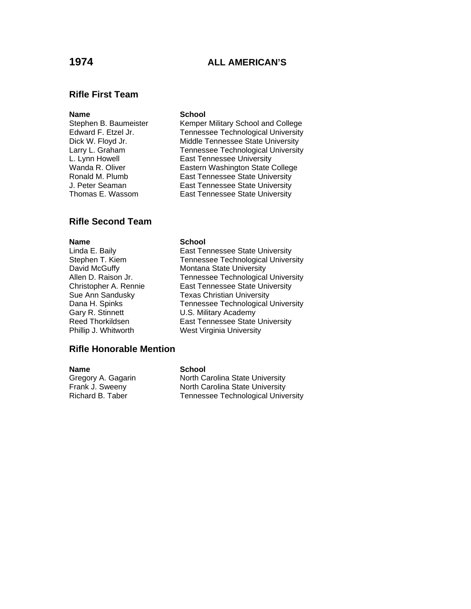## **1974 ALL AMERICAN'S**

## **Rifle First Team**

### **Name** School

Stephen B. Baumeister Kemper Military School and College Edward F. Etzel Jr. Tennessee Technological University<br>Dick W. Floyd Jr. Middle Tennessee State University Middle Tennessee State University Larry L. Graham Tennessee Technological University L. Lynn Howell **East Tennessee University**<br>
Wanda R. Oliver **Eastern Washington State** Eastern Washington State College Ronald M. Plumb East Tennessee State University J. Peter Seaman East Tennessee State University Thomas E. Wassom East Tennessee State University

## **Rifle Second Team**

Linda E. Baily Stephen T. Kiem David McGuffy Allen D. Raison Jr. Christopher A. Rennie Sue Ann Sandusky Dana H. Spinks Gary R. Stinnett Reed Thorkildsen Need Tennessee State University Phillip J. Whitworth

### **Name** School

| East Tennessee State University    |
|------------------------------------|
| Tennessee Technological University |
| Montana State University           |
| Tennessee Technological University |
| East Tennessee State University    |
| <b>Texas Christian University</b>  |
| Tennessee Technological University |
| U.S. Military Academy              |
| East Tennessee State University    |
| West Virginia University           |

### **Rifle Honorable Mention**

### **Name** School

Gregory A. Gagarin North Carolina State University Frank J. Sweeny **North Carolina State University**<br>Richard B. Taber **North Carolina State University** Tennessee Technological University